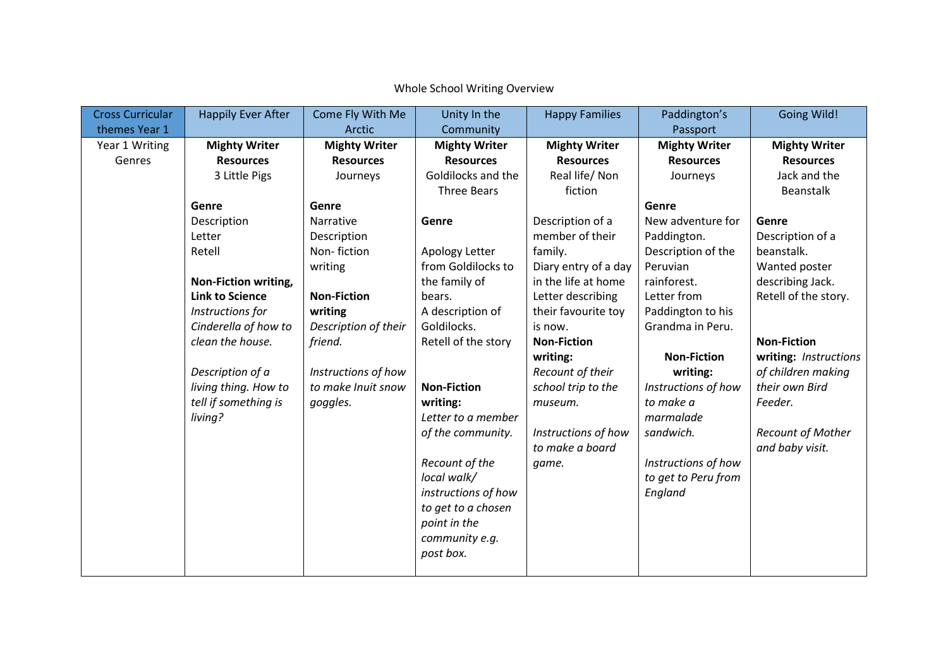| <b>Cross Curricular</b> | <b>Happily Ever After</b> | Come Fly With Me     | Unity In the         | <b>Happy Families</b> | Paddington's         | <b>Going Wild!</b>       |
|-------------------------|---------------------------|----------------------|----------------------|-----------------------|----------------------|--------------------------|
| themes Year 1           |                           | Arctic               | Community            |                       | Passport             |                          |
| Year 1 Writing          | <b>Mighty Writer</b>      | <b>Mighty Writer</b> | <b>Mighty Writer</b> | <b>Mighty Writer</b>  | <b>Mighty Writer</b> | <b>Mighty Writer</b>     |
| Genres                  | <b>Resources</b>          | <b>Resources</b>     | <b>Resources</b>     | <b>Resources</b>      | <b>Resources</b>     | <b>Resources</b>         |
|                         | 3 Little Pigs             | Journeys             | Goldilocks and the   | Real life/ Non        | Journeys             | Jack and the             |
|                         |                           |                      | Three Bears          | fiction               |                      | <b>Beanstalk</b>         |
|                         | Genre                     | Genre                |                      |                       | Genre                |                          |
|                         | Description               | Narrative            | Genre                | Description of a      | New adventure for    | Genre                    |
|                         | Letter                    | Description          |                      | member of their       | Paddington.          | Description of a         |
|                         | Retell                    | Non-fiction          | Apology Letter       | family.               | Description of the   | beanstalk.               |
|                         |                           | writing              | from Goldilocks to   | Diary entry of a day  | Peruvian             | Wanted poster            |
|                         | Non-Fiction writing,      |                      | the family of        | in the life at home   | rainforest.          | describing Jack.         |
|                         | <b>Link to Science</b>    | <b>Non-Fiction</b>   | bears.               | Letter describing     | Letter from          | Retell of the story.     |
|                         | Instructions for          | writing              | A description of     | their favourite toy   | Paddington to his    |                          |
|                         | Cinderella of how to      | Description of their | Goldilocks.          | is now.               | Grandma in Peru.     |                          |
|                         | clean the house.          | friend.              | Retell of the story  | <b>Non-Fiction</b>    |                      | <b>Non-Fiction</b>       |
|                         |                           |                      |                      | writing:              | <b>Non-Fiction</b>   | writing: Instructions    |
|                         | Description of a          | Instructions of how  |                      | Recount of their      | writing:             | of children making       |
|                         | living thing. How to      | to make Inuit snow   | <b>Non-Fiction</b>   | school trip to the    | Instructions of how  | their own Bird           |
|                         | tell if something is      | goggles.             | writing:             | museum.               | to make a            | Feeder.                  |
|                         | living?                   |                      | Letter to a member   |                       | marmalade            |                          |
|                         |                           |                      | of the community.    | Instructions of how   | sandwich.            | <b>Recount of Mother</b> |
|                         |                           |                      |                      | to make a board       |                      | and baby visit.          |
|                         |                           |                      | Recount of the       | game.                 | Instructions of how  |                          |
|                         |                           |                      | local walk/          |                       | to get to Peru from  |                          |
|                         |                           |                      | instructions of how  |                       | England              |                          |
|                         |                           |                      | to get to a chosen   |                       |                      |                          |
|                         |                           |                      | point in the         |                       |                      |                          |
|                         |                           |                      | community e.g.       |                       |                      |                          |
|                         |                           |                      | post box.            |                       |                      |                          |
|                         |                           |                      |                      |                       |                      |                          |

Whole School Writing Overview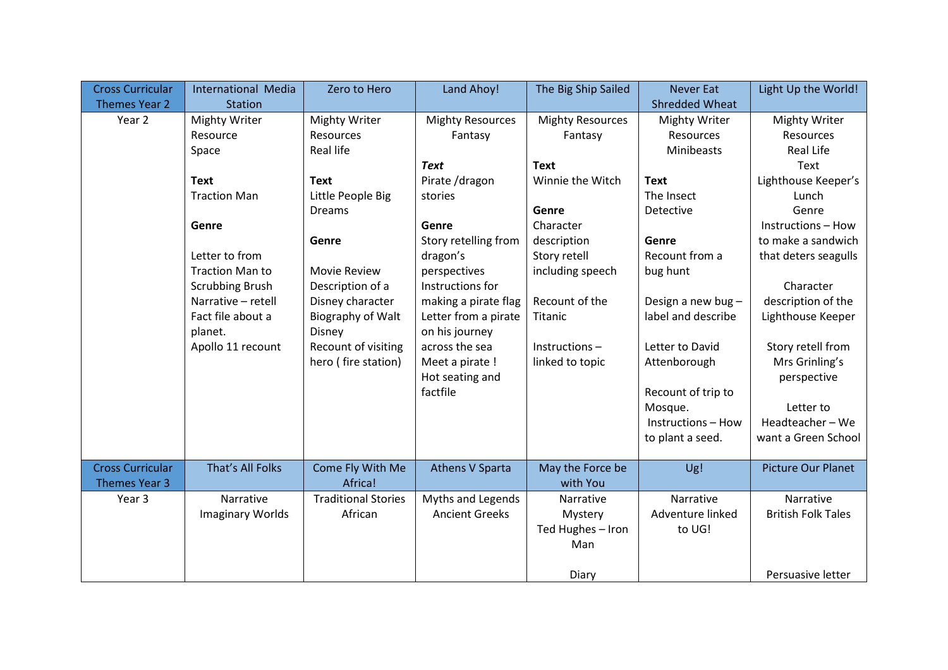| <b>Cross Curricular</b> | International Media     | Zero to Hero               | Land Ahoy!              | The Big Ship Sailed     | <b>Never Eat</b>      | Light Up the World!       |
|-------------------------|-------------------------|----------------------------|-------------------------|-------------------------|-----------------------|---------------------------|
| <b>Themes Year 2</b>    | <b>Station</b>          |                            |                         |                         | <b>Shredded Wheat</b> |                           |
| Year 2                  | <b>Mighty Writer</b>    | <b>Mighty Writer</b>       | <b>Mighty Resources</b> | <b>Mighty Resources</b> | <b>Mighty Writer</b>  | <b>Mighty Writer</b>      |
|                         | Resource                | <b>Resources</b>           | Fantasy                 | Fantasy                 | Resources             | <b>Resources</b>          |
|                         | Space                   | <b>Real life</b>           |                         |                         | Minibeasts            | <b>Real Life</b>          |
|                         |                         |                            | <b>Text</b>             | <b>Text</b>             |                       | Text                      |
|                         | <b>Text</b>             | <b>Text</b>                | Pirate /dragon          | Winnie the Witch        | <b>Text</b>           | Lighthouse Keeper's       |
|                         | <b>Traction Man</b>     | Little People Big          | stories                 |                         | The Insect            | Lunch                     |
|                         |                         | <b>Dreams</b>              |                         | Genre                   | Detective             | Genre                     |
|                         | Genre                   |                            | Genre                   | Character               |                       | Instructions - How        |
|                         |                         | Genre                      | Story retelling from    | description             | Genre                 | to make a sandwich        |
|                         | Letter to from          |                            | dragon's                | Story retell            | Recount from a        | that deters seagulls      |
|                         | <b>Traction Man to</b>  | <b>Movie Review</b>        | perspectives            | including speech        | bug hunt              |                           |
|                         | <b>Scrubbing Brush</b>  | Description of a           | Instructions for        |                         |                       | Character                 |
|                         | Narrative - retell      | Disney character           | making a pirate flag    | Recount of the          | Design a new bug-     | description of the        |
|                         | Fact file about a       | Biography of Walt          | Letter from a pirate    | Titanic                 | label and describe    | Lighthouse Keeper         |
|                         | planet.                 | Disney                     | on his journey          |                         |                       |                           |
|                         | Apollo 11 recount       | Recount of visiting        | across the sea          | Instructions-           | Letter to David       | Story retell from         |
|                         |                         | hero (fire station)        | Meet a pirate !         | linked to topic         | Attenborough          | Mrs Grinling's            |
|                         |                         |                            | Hot seating and         |                         |                       | perspective               |
|                         |                         |                            | factfile                |                         | Recount of trip to    |                           |
|                         |                         |                            |                         |                         | Mosque.               | Letter to                 |
|                         |                         |                            |                         |                         | Instructions - How    | Headteacher-We            |
|                         |                         |                            |                         |                         | to plant a seed.      | want a Green School       |
|                         |                         |                            |                         |                         |                       |                           |
| <b>Cross Curricular</b> | That's All Folks        | Come Fly With Me           | <b>Athens V Sparta</b>  | May the Force be        | Ug!                   | <b>Picture Our Planet</b> |
| <b>Themes Year 3</b>    |                         | Africa!                    |                         | with You                |                       |                           |
| Year 3                  | Narrative               | <b>Traditional Stories</b> | Myths and Legends       | Narrative               | Narrative             | Narrative                 |
|                         | <b>Imaginary Worlds</b> | African                    | <b>Ancient Greeks</b>   | Mystery                 | Adventure linked      | <b>British Folk Tales</b> |
|                         |                         |                            |                         | Ted Hughes - Iron       | to UG!                |                           |
|                         |                         |                            |                         | Man                     |                       |                           |
|                         |                         |                            |                         |                         |                       |                           |
|                         |                         |                            |                         | Diary                   |                       | Persuasive letter         |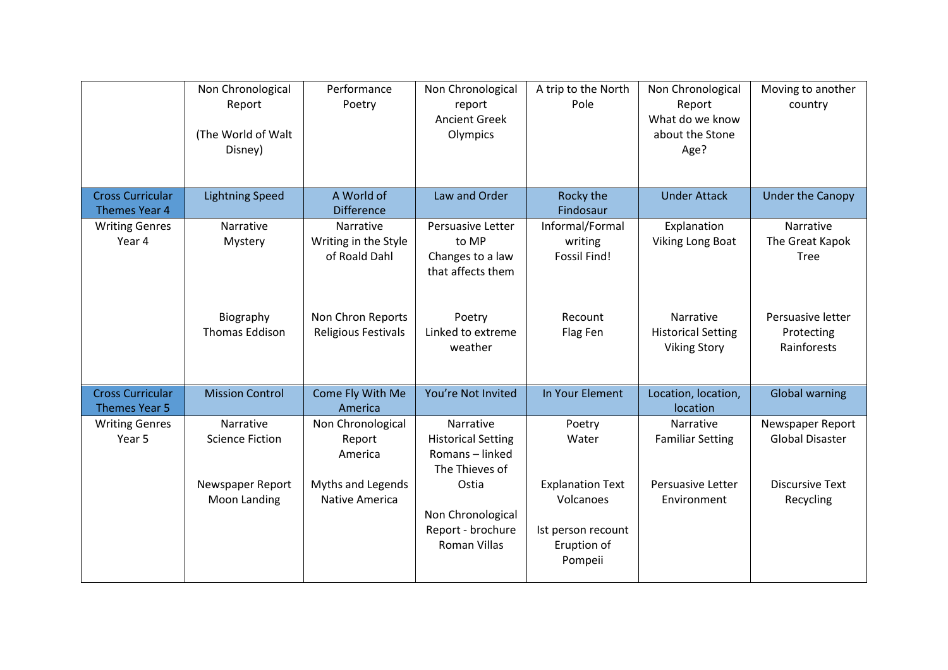|                                                 | Non Chronological<br>Report<br>(The World of Walt<br>Disney) | Performance<br>Poetry                              | Non Chronological<br>report<br><b>Ancient Greek</b><br>Olympics             | A trip to the North<br>Pole                                                          | Non Chronological<br>Report<br>What do we know<br>about the Stone<br>Age? | Moving to another<br>country                   |
|-------------------------------------------------|--------------------------------------------------------------|----------------------------------------------------|-----------------------------------------------------------------------------|--------------------------------------------------------------------------------------|---------------------------------------------------------------------------|------------------------------------------------|
| <b>Cross Curricular</b><br>Themes Year 4        | <b>Lightning Speed</b>                                       | A World of<br><b>Difference</b>                    | Law and Order                                                               | Rocky the<br>Findosaur                                                               | <b>Under Attack</b>                                                       | <b>Under the Canopy</b>                        |
| <b>Writing Genres</b><br>Year 4                 | Narrative<br>Mystery                                         | Narrative<br>Writing in the Style<br>of Roald Dahl | Persuasive Letter<br>to MP<br>Changes to a law<br>that affects them         | Informal/Formal<br>writing<br><b>Fossil Find!</b>                                    | Explanation<br>Viking Long Boat                                           | Narrative<br>The Great Kapok<br><b>Tree</b>    |
|                                                 | Biography<br><b>Thomas Eddison</b>                           | Non Chron Reports<br><b>Religious Festivals</b>    | Poetry<br>Linked to extreme<br>weather                                      | Recount<br>Flag Fen                                                                  | Narrative<br><b>Historical Setting</b><br><b>Viking Story</b>             | Persuasive letter<br>Protecting<br>Rainforests |
| <b>Cross Curricular</b><br><b>Themes Year 5</b> | <b>Mission Control</b>                                       | Come Fly With Me<br>America                        | You're Not Invited                                                          | In Your Element                                                                      | Location, location,<br>location                                           | <b>Global warning</b>                          |
| <b>Writing Genres</b><br>Year 5                 | Narrative<br><b>Science Fiction</b>                          | Non Chronological<br>Report<br>America             | Narrative<br><b>Historical Setting</b><br>Romans - linked<br>The Thieves of | Poetry<br>Water                                                                      | Narrative<br><b>Familiar Setting</b>                                      | Newspaper Report<br><b>Global Disaster</b>     |
|                                                 | Newspaper Report<br>Moon Landing                             | Myths and Legends<br>Native America                | Ostia<br>Non Chronological<br>Report - brochure<br><b>Roman Villas</b>      | <b>Explanation Text</b><br>Volcanoes<br>Ist person recount<br>Eruption of<br>Pompeii | Persuasive Letter<br>Environment                                          | <b>Discursive Text</b><br>Recycling            |